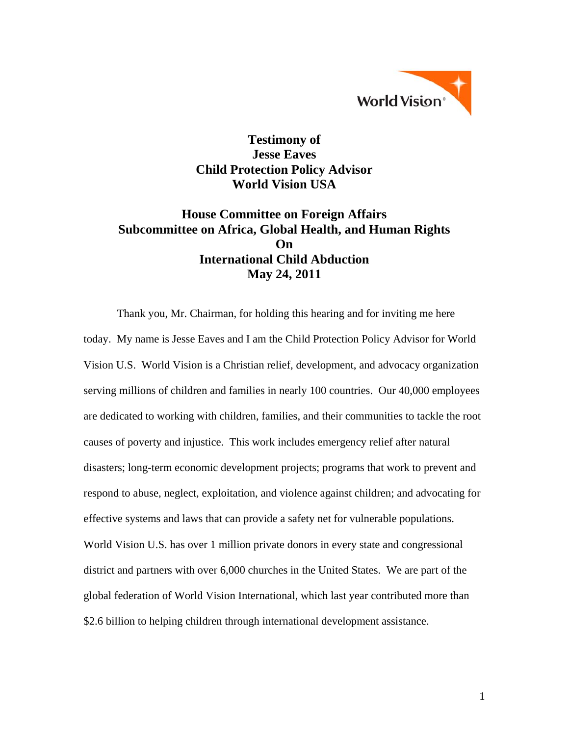

# **Testimony of Jesse Eaves Child Protection Policy Advisor World Vision USA**

# **House Committee on Foreign Affairs Subcommittee on Africa, Global Health, and Human Rights On International Child Abduction May 24, 2011**

Thank you, Mr. Chairman, for holding this hearing and for inviting me here today. My name is Jesse Eaves and I am the Child Protection Policy Advisor for World Vision U.S. World Vision is a Christian relief, development, and advocacy organization serving millions of children and families in nearly 100 countries. Our 40,000 employees are dedicated to working with children, families, and their communities to tackle the root causes of poverty and injustice. This work includes emergency relief after natural disasters; long-term economic development projects; programs that work to prevent and respond to abuse, neglect, exploitation, and violence against children; and advocating for effective systems and laws that can provide a safety net for vulnerable populations. World Vision U.S. has over 1 million private donors in every state and congressional district and partners with over 6,000 churches in the United States. We are part of the global federation of World Vision International, which last year contributed more than \$2.6 billion to helping children through international development assistance.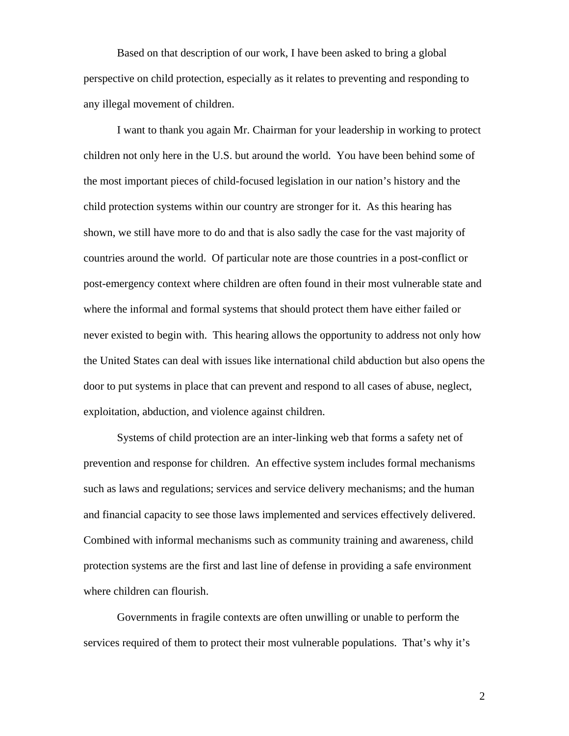Based on that description of our work, I have been asked to bring a global perspective on child protection, especially as it relates to preventing and responding to any illegal movement of children.

I want to thank you again Mr. Chairman for your leadership in working to protect children not only here in the U.S. but around the world. You have been behind some of the most important pieces of child-focused legislation in our nation's history and the child protection systems within our country are stronger for it. As this hearing has shown, we still have more to do and that is also sadly the case for the vast majority of countries around the world. Of particular note are those countries in a post-conflict or post-emergency context where children are often found in their most vulnerable state and where the informal and formal systems that should protect them have either failed or never existed to begin with. This hearing allows the opportunity to address not only how the United States can deal with issues like international child abduction but also opens the door to put systems in place that can prevent and respond to all cases of abuse, neglect, exploitation, abduction, and violence against children.

Systems of child protection are an inter-linking web that forms a safety net of prevention and response for children. An effective system includes formal mechanisms such as laws and regulations; services and service delivery mechanisms; and the human and financial capacity to see those laws implemented and services effectively delivered. Combined with informal mechanisms such as community training and awareness, child protection systems are the first and last line of defense in providing a safe environment where children can flourish.

Governments in fragile contexts are often unwilling or unable to perform the services required of them to protect their most vulnerable populations. That's why it's

2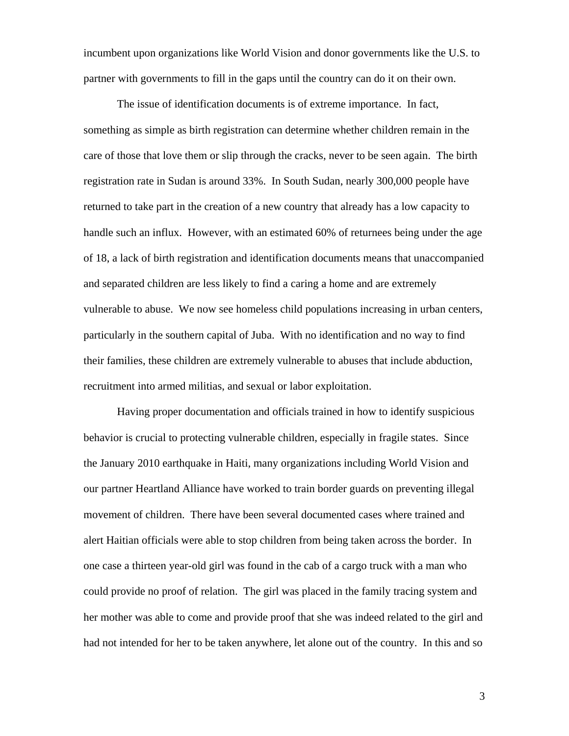incumbent upon organizations like World Vision and donor governments like the U.S. to partner with governments to fill in the gaps until the country can do it on their own.

The issue of identification documents is of extreme importance. In fact, something as simple as birth registration can determine whether children remain in the care of those that love them or slip through the cracks, never to be seen again. The birth registration rate in Sudan is around 33%. In South Sudan, nearly 300,000 people have returned to take part in the creation of a new country that already has a low capacity to handle such an influx. However, with an estimated 60% of returnees being under the age of 18, a lack of birth registration and identification documents means that unaccompanied and separated children are less likely to find a caring a home and are extremely vulnerable to abuse. We now see homeless child populations increasing in urban centers, particularly in the southern capital of Juba. With no identification and no way to find their families, these children are extremely vulnerable to abuses that include abduction, recruitment into armed militias, and sexual or labor exploitation.

Having proper documentation and officials trained in how to identify suspicious behavior is crucial to protecting vulnerable children, especially in fragile states. Since the January 2010 earthquake in Haiti, many organizations including World Vision and our partner Heartland Alliance have worked to train border guards on preventing illegal movement of children. There have been several documented cases where trained and alert Haitian officials were able to stop children from being taken across the border. In one case a thirteen year-old girl was found in the cab of a cargo truck with a man who could provide no proof of relation. The girl was placed in the family tracing system and her mother was able to come and provide proof that she was indeed related to the girl and had not intended for her to be taken anywhere, let alone out of the country. In this and so

3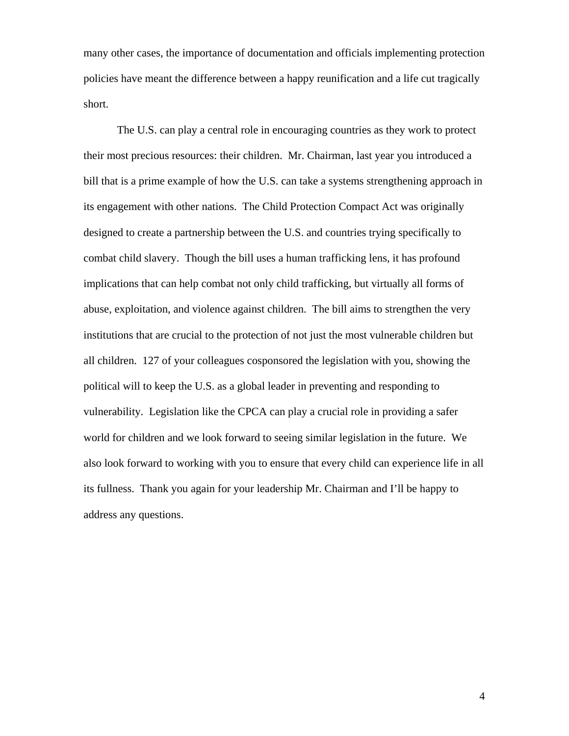many other cases, the importance of documentation and officials implementing protection policies have meant the difference between a happy reunification and a life cut tragically short.

The U.S. can play a central role in encouraging countries as they work to protect their most precious resources: their children. Mr. Chairman, last year you introduced a bill that is a prime example of how the U.S. can take a systems strengthening approach in its engagement with other nations. The Child Protection Compact Act was originally designed to create a partnership between the U.S. and countries trying specifically to combat child slavery. Though the bill uses a human trafficking lens, it has profound implications that can help combat not only child trafficking, but virtually all forms of abuse, exploitation, and violence against children. The bill aims to strengthen the very institutions that are crucial to the protection of not just the most vulnerable children but all children. 127 of your colleagues cosponsored the legislation with you, showing the political will to keep the U.S. as a global leader in preventing and responding to vulnerability. Legislation like the CPCA can play a crucial role in providing a safer world for children and we look forward to seeing similar legislation in the future. We also look forward to working with you to ensure that every child can experience life in all its fullness. Thank you again for your leadership Mr. Chairman and I'll be happy to address any questions.

4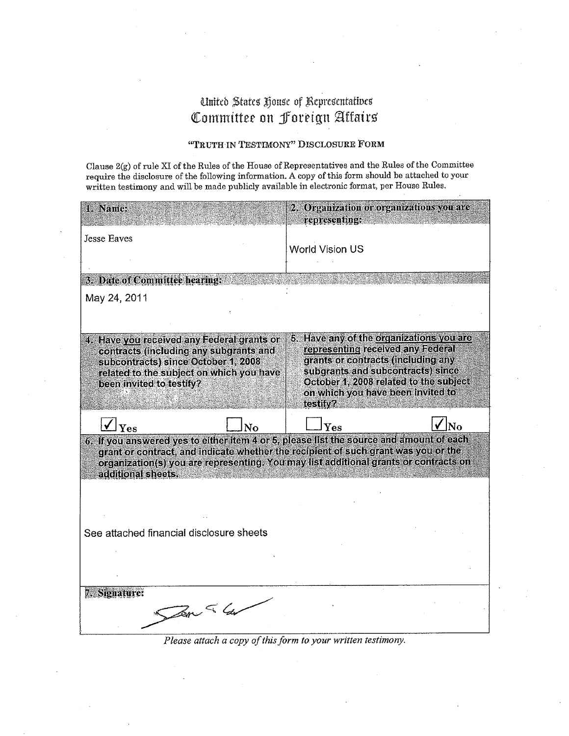# United States House of Representatives Committee on Foreign Affairs

## "TRUTH IN TESTIMONY" DISCLOSURE FORM

Clause 2(g) of rule XI of the Rules of the House of Representatives and the Rules of the Committee require the disclosure of the following information. A copy of this form should be attached to your written testimony and will be made publicly available in electronic format, per House Rules.

| 1. Name:                                                                                                                                                                                                                                                              | 2. Organization or organizations you are                                                                                                                                                                                                            |                |
|-----------------------------------------------------------------------------------------------------------------------------------------------------------------------------------------------------------------------------------------------------------------------|-----------------------------------------------------------------------------------------------------------------------------------------------------------------------------------------------------------------------------------------------------|----------------|
|                                                                                                                                                                                                                                                                       | representing:                                                                                                                                                                                                                                       |                |
| Jesse Eaves                                                                                                                                                                                                                                                           | World Vision US                                                                                                                                                                                                                                     |                |
| 3. Date of Committee hearing:                                                                                                                                                                                                                                         |                                                                                                                                                                                                                                                     |                |
| May 24, 2011                                                                                                                                                                                                                                                          |                                                                                                                                                                                                                                                     |                |
|                                                                                                                                                                                                                                                                       |                                                                                                                                                                                                                                                     |                |
| 4. Have you received any Federal grants or<br>contracts (including any subgrants and<br>subcontracts) since October 1, 2008<br>related to the subject on which you have<br>been invited to testify?                                                                   | 5. Have any of the organizations you are<br>representing received any Federal<br>grants or contracts (including any<br>subgrants and subcontracts) since<br>October 1, 2008 related to the subject<br>on which you have been invited to<br>festity? |                |
| Yes<br>N <sub>O</sub>                                                                                                                                                                                                                                                 | $\mathbf{Yes}$                                                                                                                                                                                                                                      | $\overline{N}$ |
| 6. If you answered yes to either item 4 or 5, please list the source and amount of each<br>grant or contract, and indicate whether the recipient of such grant was you or the<br>organization(s) you are representing. You may list additional grants or contracts on |                                                                                                                                                                                                                                                     |                |
| additional sheets.                                                                                                                                                                                                                                                    |                                                                                                                                                                                                                                                     |                |
|                                                                                                                                                                                                                                                                       |                                                                                                                                                                                                                                                     |                |
|                                                                                                                                                                                                                                                                       |                                                                                                                                                                                                                                                     |                |
| See attached financial disclosure sheets                                                                                                                                                                                                                              |                                                                                                                                                                                                                                                     |                |
|                                                                                                                                                                                                                                                                       |                                                                                                                                                                                                                                                     |                |
|                                                                                                                                                                                                                                                                       |                                                                                                                                                                                                                                                     |                |
| 7. Signature:                                                                                                                                                                                                                                                         |                                                                                                                                                                                                                                                     |                |
| Ser & Ge                                                                                                                                                                                                                                                              |                                                                                                                                                                                                                                                     |                |
|                                                                                                                                                                                                                                                                       |                                                                                                                                                                                                                                                     |                |

Please attach a copy of this form to your written testimony.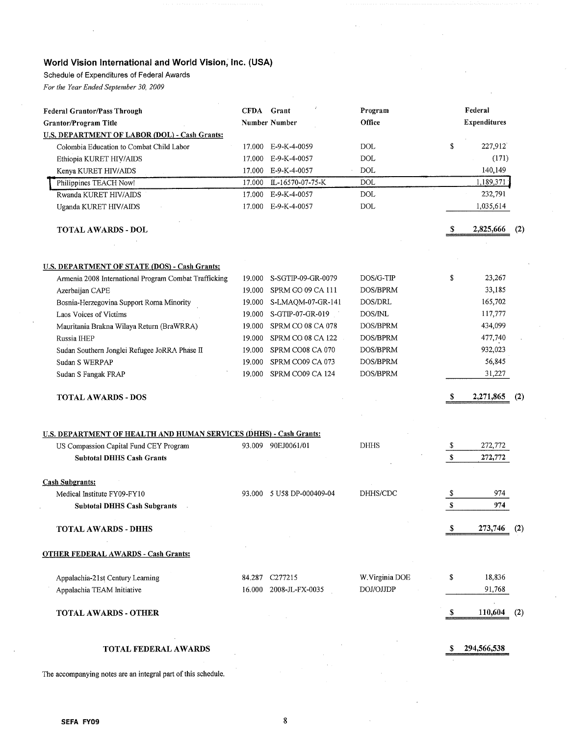# World Vision International and World Vision, Inc. (USA)

Schedule of Expenditures of Federal Awards

For the Year Ended September 30, 2009

| <b>Federal Grantor/Pass Through</b>                                |        | CFDA Grant             | Program         |    | Federal             |     |
|--------------------------------------------------------------------|--------|------------------------|-----------------|----|---------------------|-----|
| Grantor/Program Title                                              |        | <b>Number Number</b>   | Office          |    | <b>Expenditures</b> |     |
| <b>U.S. DEPARTMENT OF LABOR (DOL) - Cash Grants:</b>               |        |                        |                 |    |                     |     |
| Colombia Education to Combat Child Labor                           |        | 17.000 E-9-K-4-0059    | <b>DOL</b>      | \$ | 227,912             |     |
| Ethiopia KURET HIV/AIDS                                            | 17.000 | E-9-K-4-0057           | DOL             |    | (171)               |     |
| Kenya KURET HIV/AIDS                                               |        | 17.000 E-9-K-4-0057    | <b>DOL</b>      |    | 140,149             |     |
| Philippines TEACH Now!                                             | 17.000 | IL-16570-07-75-K       | DOL             |    | 1,189,371           |     |
| Rwanda KURET HIV/AIDS                                              | 17.000 | E-9-K-4-0057           | <b>DOL</b>      |    | 232,791             |     |
| Uganda KURET HIV/AIDS                                              | 17.000 | E-9-K-4-0057           | <b>DOL</b>      |    | 1,035,614           |     |
| TOTAL AWARDS - DOL                                                 |        |                        |                 | S  | 2,825,666           | (2) |
|                                                                    |        |                        |                 |    |                     |     |
| <b>U.S. DEPARTMENT OF STATE (DOS) - Cash Grants:</b>               | 19.000 | S-SGTIP-09-GR-0079     | DOS/G-TIP       | \$ | 23,267              |     |
| Armenia 2008 International Program Combat Trafficking              | 19.000 | SPRM CO 09 CA 111      | DOS/BPRM        |    | 33,185              |     |
| Azerbaijan CAPE                                                    | 19.000 | S-LMAQM-07-GR-141      | DOS/DRL         |    | 165,702             |     |
| Bosnia-Herzegovina Support Roma Minority<br>Laos Voices of Victims | 19.000 | S-GTIP-07-GR-019       | DOS/INL         |    | 117,777             |     |
| Mauritania Brakna Wilaya Return (BraWRRA)                          | 19.000 | SPRM CO 08 CA 078      | DOS/BPRM        |    | 434,099             |     |
| Russia IHEP                                                        | 19.000 | SPRM CO 08 CA 122      | DOS/BPRM        |    | 477,740             |     |
| Sudan Southern Jonglei Refugee JoRRA Phase II                      | 19.000 | SPRM CO08 CA 070       | DOS/BPRM        |    | 932,023             |     |
| Sudan S WERPAP                                                     | 19.000 | SPRM CO09 CA 073       | DOS/BPRM        |    | 56,845              |     |
|                                                                    | 19.000 | SPRM CO09 CA 124       | DOS/BPRM        |    | 31,227              |     |
| Sudan S Fangak FRAP                                                |        |                        |                 |    |                     |     |
| <b>TOTAL AWARDS - DOS</b>                                          |        |                        |                 | S  | 2,271,865           | (2) |
|                                                                    |        |                        |                 |    |                     |     |
| U.S. DEPARTMENT OF HEALTH AND HUMAN SERVICES (DHHS) - Cash Grants: |        |                        |                 |    |                     |     |
| US Compassion Capital Fund CEY Program                             |        | 93.009 90EJ0061/01     | <b>DHHS</b>     | Y. | 272,772             |     |
| <b>Subtotal DHHS Cash Grants</b>                                   |        |                        |                 | \$ | 272,772             |     |
| <b>Cash Subgrants:</b>                                             |        |                        |                 |    |                     |     |
| Medical Institute FY09-FY10                                        | 93.000 | 5 U58 DP-000409-04     | DHHS/CDC        | \$ | 974                 |     |
| <b>Subtotal DHHS Cash Subgrants</b>                                |        |                        |                 | S  | 974                 |     |
| <b>TOTAL AWARDS - DHHS</b>                                         |        |                        |                 | S. | 273,746 (2)         |     |
| <b>OTHER FEDERAL AWARDS - Cash Grants:</b>                         |        |                        |                 |    |                     |     |
| Appalachia-21st Century Learning                                   |        | 84.287 C277215         | W. Virginia DOE | \$ | 18,836              |     |
| Appalachia TEAM Initiative                                         |        | 16.000 2008-JL-FX-0035 | DOJ/OJJDP       |    | 91,768              |     |
| <b>TOTAL AWARDS - OTHER</b>                                        |        |                        |                 | S  | 110,604             | (2) |
| <b>TOTAL FEDERAL AWARDS</b>                                        |        |                        |                 | \$ | 294,566,538         |     |

The accompanying notes are an integral part of this schedule.

 $\bf 8$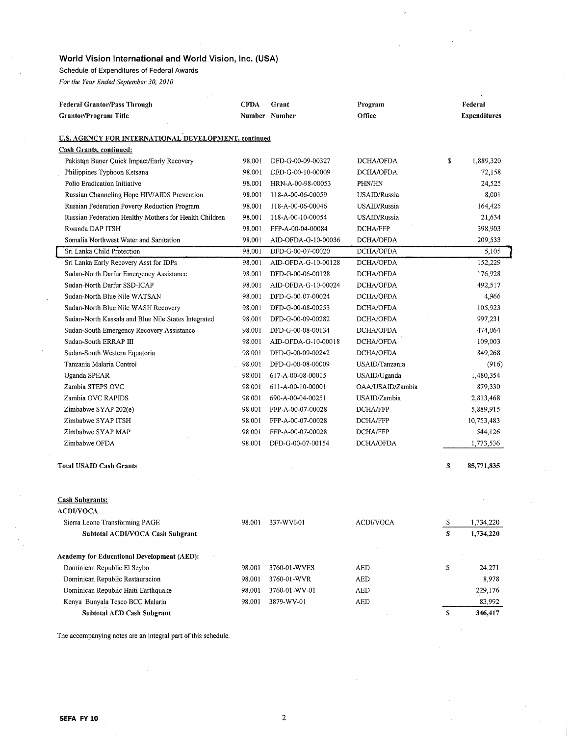## World Vision International and World Vision, Inc. (USA)

Schedule of Expenditures of Federal Awards

For the Year Ended September 30, 2010

| <b>Federal Grantor/Pass Through</b>                    | <b>CFDA</b> | Grant               | Program          |    | Federal             |
|--------------------------------------------------------|-------------|---------------------|------------------|----|---------------------|
| Grantor/Program Title                                  |             | Number Number       | Office           |    | <b>Expenditures</b> |
|                                                        |             |                     |                  |    |                     |
| U.S. AGENCY FOR INTERNATIONAL DEVELOPMENT, continued   |             |                     |                  |    |                     |
| <b>Cash Grants, continued:</b>                         |             |                     |                  |    |                     |
| Pakistan Buner Quick Impact/Early Recovery             | 98.001      | DFD-G-00-09-00327   | DCHA/OFDA        | \$ | 1,889,320           |
| Philippines Typhoon Ketsana                            | 98.001      | DFD-G-00-10-00009   | DCHA/OFDA        |    | 72,158              |
| Polio Eradication Initiative                           | 98.001      | HRN-A-00-98-00053   | PHN/HN           |    | 24,525              |
| Russian Channeling Hope HIV/AIDS Prevention            | 98,001      | 118-A-00-06-00059   | USAID/Russia     |    | 8,001               |
| Russian Federation Poverty Reduction Program           | 98.001      | 118-A-00-06-00046   | USAID/Russia     |    | 164,425             |
| Russian Federation Healthy Mothers for Health Children | 98.001      | 118-A-00-10-00054   | USAID/Russia     |    | 21,634              |
| Rwanda DAP ITSH                                        | 98.001      | FFP-A-00-04-00084   | DCHA/FFP         |    | 398,903             |
| Somalia Northwest Water and Sanitation                 | 98,001      | AID-OFDA-G-10-00036 | DCHA/OFDA        |    | 209,533             |
| Sri Lanka Child Protection                             | 98,001      | DFD-G-00-07-00020   | DCHA/OFDA        |    | 5,105               |
| Sri Lanka Early Recovery Asst for IDPs                 | 98.001      | AID-OFDA-G-10-00128 | DCHA/OFDA        |    | 152,229             |
| Sudan-North Darfur Emergency Assistance                | 98,001      | DFD-G-00-06-00128   | DCHA/OFDA        |    | 176,928             |
| Sudan-North Darfur SSD-ICAP                            | 98.001      | AID-OFDA-G-10-00024 | DCHA/OFDA        |    | 492,517             |
| Sudan-North Blue Nile WATSAN                           | 98.001      | DFD-G-00-07-00024   | DCHA/OFDA        |    | 4,966               |
| Sudan-North Blue Nile WASH Recovery                    | 98,001      | DFD-G-00-08-00253   | DCHA/OFDA        |    | 105,923             |
| Sudan-North Kassala and Blue Nile States Integrated    | 98.001      | DFD-G-00-09-00282   | DCHA/OFDA        |    | 997,231             |
| Sudan-South Emergency Recovery Assistance              | 98.001      | DFD-G-00-08-00134   | DCHA/OFDA        |    | 474,064             |
| Sudan-South ERRAP III                                  | 98.001      | AID-OFDA-G-10-00018 | DCHA/OFDA        |    | 109,003             |
| Sudan-South Western Equatoria                          | 98.001      | DFD-G-00-09-00242   | DCHA/OFDA        |    | 849,268             |
| Tanzania Malaria Control                               | 98.001      | DFD-G-00-08-00009   | USAID/Tanzania   |    | (916)               |
| <b>Uganda SPEAR</b>                                    | 98.001      | 617-A-00-08-00015   | USAID/Uganda     |    | 1,480,354           |
| Zambia STEPS OVC                                       | 98.001      | 611-A-00-10-00001   | OAA/USAID/Zambia |    | 879,330             |
| Zambia OVC RAPIDS                                      | 98.001      | 690-A-00-04-00251   | USAID/Zambia     |    | 2,813,468           |
| Zimbabwe SYAP 202(e)                                   | 98.001      | FFP-A-00-07-00028   | DCHA/FFP         |    | 5,889,915           |
| Zimbabwe SYAP ITSH                                     | 98.001      | FFP-A-00-07-00028   | DCHA/FFP         |    | 10,753,483          |
| Zimbabwe SYAP MAP                                      | 98.001      | FFP-A-00-07-00028   | DCHA/FFP         |    | 544,126             |
| Zimbabwe OFDA                                          | 98.001      | DFD-G-00-07-00154   | DCHA/OFDA        |    | 1,773,536           |
|                                                        |             |                     |                  |    |                     |
| <b>Total USAID Cash Grants</b>                         |             |                     |                  | S  | 85,771,835          |
|                                                        |             |                     |                  |    |                     |
|                                                        |             |                     |                  |    |                     |
| <b>Cash Subgrants:</b>                                 |             |                     |                  |    |                     |
| ACDI/VOCA                                              |             |                     |                  |    |                     |
| Sierra Leone Transforming PAGE                         | 98.001      | 337-WVI-01          | ACDI/VOCA        | \$ | 1,734,220           |
| Subtotal ACDI/VOCA Cash Subgrant                       |             |                     |                  | S  | 1,734,220           |
|                                                        |             |                     |                  |    |                     |
| <b>Academy for Educational Development (AED):</b>      |             |                     |                  |    |                     |
| Dominican Republic El Seybo                            | 98.001      | 3760-01-WVES        | AED              | \$ | 24,271              |
| Dominican Republic Restauracion                        | 98.001      | 3760-01-WVR         | AED              |    | 8,978               |
| Dominican Republic Haiti Earthquake                    | 98.001      | 3760-01-WV-01       | AED              |    | 229,176             |
| Kenya Bunyala Tesco BCC Malaria                        | 98.001      | 3879-WV-01          | AED              |    | 83,992              |
| <b>Subtotal AED Cash Subgrant</b>                      |             |                     |                  | S  | 346,417             |

The accompanying notes are an integral part of this schedule.